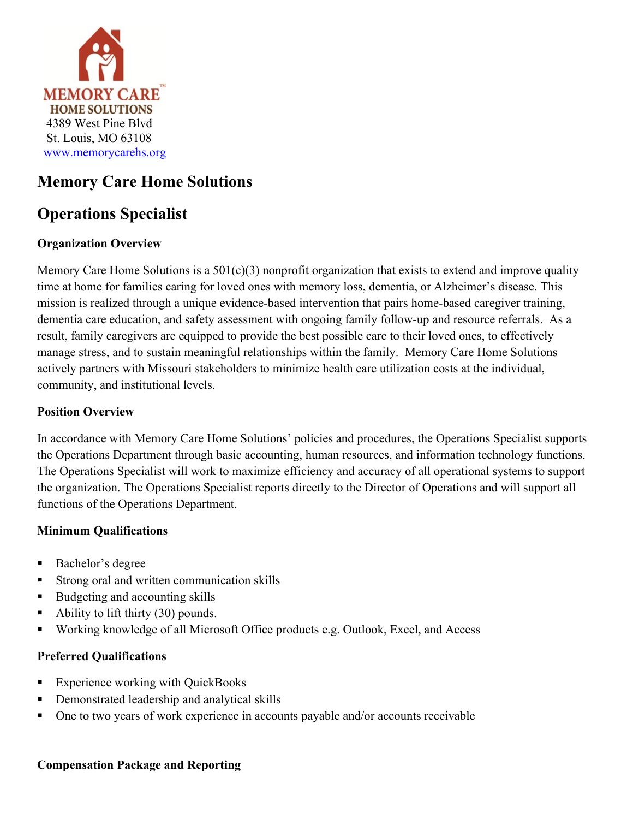

## **Memory Care Home Solutions**

# **Operations Specialist**

## **Organization Overview**

Memory Care Home Solutions is a  $501(c)(3)$  nonprofit organization that exists to extend and improve quality time at home for families caring for loved ones with memory loss, dementia, or Alzheimer's disease. This mission is realized through a unique evidence-based intervention that pairs home-based caregiver training, dementia care education, and safety assessment with ongoing family follow-up and resource referrals. As a result, family caregivers are equipped to provide the best possible care to their loved ones, to effectively manage stress, and to sustain meaningful relationships within the family. Memory Care Home Solutions actively partners with Missouri stakeholders to minimize health care utilization costs at the individual, community, and institutional levels.

### **Position Overview**

In accordance with Memory Care Home Solutions' policies and procedures, the Operations Specialist supports the Operations Department through basic accounting, human resources, and information technology functions. The Operations Specialist will work to maximize efficiency and accuracy of all operational systems to support the organization. The Operations Specialist reports directly to the Director of Operations and will support all functions of the Operations Department.

#### **Minimum Qualifications**

- Bachelor's degree
- Strong oral and written communication skills
- Budgeting and accounting skills
- Ability to lift thirty (30) pounds.
- Working knowledge of all Microsoft Office products e.g. Outlook, Excel, and Access

#### **Preferred Qualifications**

- Experience working with QuickBooks
- Demonstrated leadership and analytical skills
- One to two years of work experience in accounts payable and/or accounts receivable

#### **Compensation Package and Reporting**